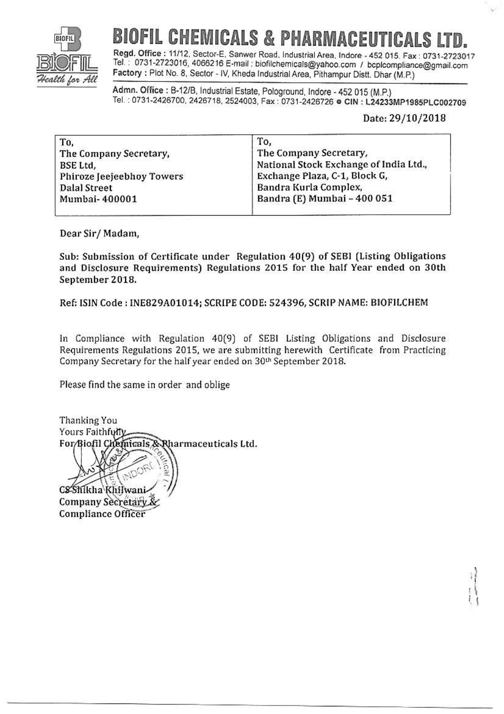

## **CHEMICALS & PHARMACEU**

Regd. Office: 11/12, Sector-E, Sanwer Road, Industrial Area, Indore - 452 015, Fax: 0731-2723017 Tel.: 0731-2723016, 4066216 E-mail: biofilchemicals@yahoo.com / bcplcompliance@gmail.com Factory : Plot No. 8, Sector - IV, Kheda Industrial Area, Pithampur Distt. Dhar (M.P.)

Admn. Office: B-12/B, Industrial Estate, Pologround, Indore - 452 015 (M.P.) Tel.: 0731-2426700, 2426718, 2524003, Fax: 0731-2426726 @ CIN: L24233MP1985PLC002709

## Date: 29/10/2018

| To.                       | To.                                    |
|---------------------------|----------------------------------------|
| The Company Secretary,    | The Company Secretary,                 |
| BSE Ltd,                  | National Stock Exchange of India Ltd., |
| Phiroze Jeejeebhoy Towers | Exchange Plaza, C-1, Block G,          |
| <b>Dalal Street</b>       | Bandra Kurla Complex,                  |
| Mumbai-400001             | Bandra (E) Mumbai - 400 051            |
|                           |                                        |

Dear Sir/Madam,

Sub: Submission of Certificate under Regulation 40(9) of SEBI (Listing Obligations and Disclosure Requirements) Regulations 2015 for the half Year ended on 30th September 2018.

Ref: ISIN Code: INE829A01014; SCRIPE CODE: 524396, SCRIP NAME: BIOFILCHEM

In Compliance with Regulation 40(9) of SEBI Listing Obligations and Disclosure Requirements Regulations 2015, we are submitting herewith Certificate from Practicing Company Secretary for the half year ended on 30th September 2018.

Please find the same in order and oblige

Thanking You Yours Faithfully For/Biofil Chemicals & Rharmaceuticals Ltd.

CS Shikha Khilwani

Company Secretary **Compliance Officer**